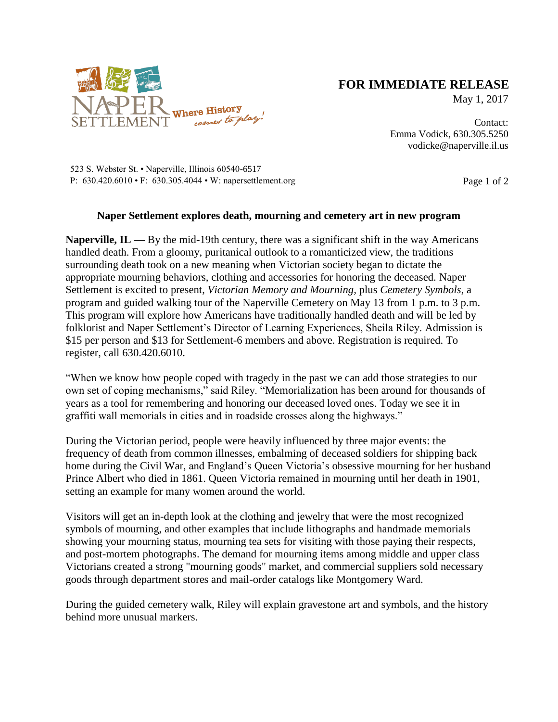

## **FOR IMMEDIATE RELEASE**

May 1, 2017

Contact: Emma Vodick, 630.305.5250 vodicke@naperville.il.us

523 S. Webster St. • Naperville, Illinois 60540-6517 P:  $630.420.6010 \cdot F$ :  $630.305.4044 \cdot W$ : napersettlement.org Page 1 of 2

## **Naper Settlement explores death, mourning and cemetery art in new program**

**Naperville, IL —** By the mid-19th century, there was a significant shift in the way Americans handled death. From a gloomy, puritanical outlook to a romanticized view, the traditions surrounding death took on a new meaning when Victorian society began to dictate the appropriate mourning behaviors, clothing and accessories for honoring the deceased. Naper Settlement is excited to present, *Victorian Memory and Mourning,* plus *Cemetery Symbols*, a program and guided walking tour of the Naperville Cemetery on May 13 from 1 p.m. to 3 p.m. This program will explore how Americans have traditionally handled death and will be led by folklorist and Naper Settlement's Director of Learning Experiences, Sheila Riley. Admission is \$15 per person and \$13 for Settlement-6 members and above. Registration is required. To register, call 630.420.6010.

"When we know how people coped with tragedy in the past we can add those strategies to our own set of coping mechanisms," said Riley. "Memorialization has been around for thousands of years as a tool for remembering and honoring our deceased loved ones. Today we see it in graffiti wall memorials in cities and in roadside crosses along the highways."

During the Victorian period, people were heavily influenced by three major events: the frequency of death from common illnesses, embalming of deceased soldiers for shipping back home during the Civil War, and England's Queen Victoria's obsessive mourning for her husband Prince Albert who died in 1861. Queen Victoria remained in mourning until her death in 1901, setting an example for many women around the world.

Visitors will get an in-depth look at the clothing and jewelry that were the most recognized symbols of mourning, and other examples that include lithographs and handmade memorials showing your mourning status, mourning tea sets for visiting with those paying their respects, and post-mortem photographs. The demand for mourning items among middle and upper class Victorians created a strong "mourning goods" market, and commercial suppliers sold necessary goods through department stores and mail-order catalogs like Montgomery Ward.

During the guided cemetery walk, Riley will explain gravestone art and symbols, and the history behind more unusual markers.